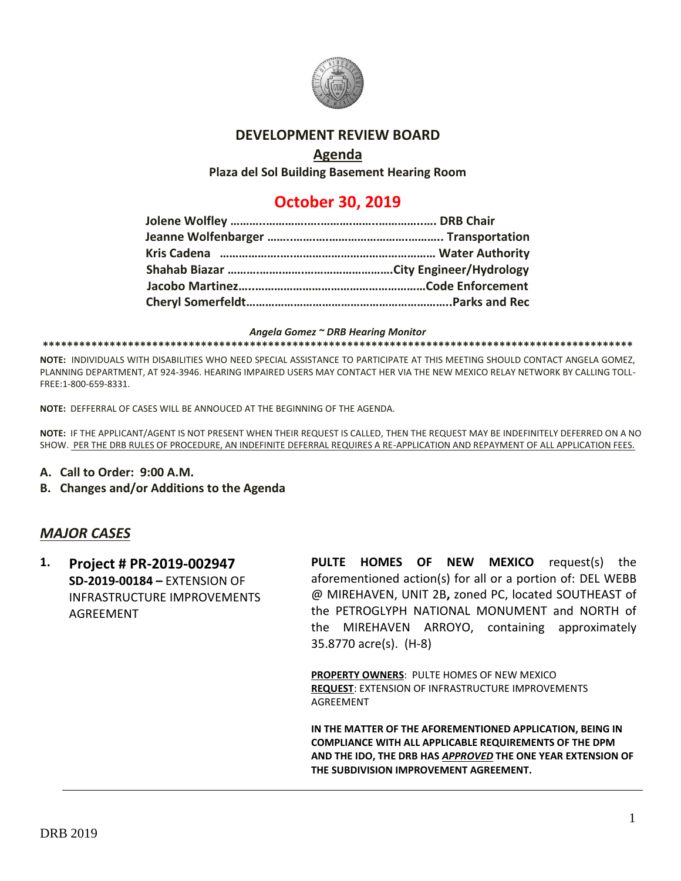

#### **DEVELOPMENT REVIEW BOARD**

#### **Agenda**

**Plaza del Sol Building Basement Hearing Room**

# **October 30, 2019**

#### *Angela Gomez ~ DRB Hearing Monitor*

#### **\*\*\*\*\*\*\*\*\*\*\*\*\*\*\*\*\*\*\*\*\*\*\*\*\*\*\*\*\*\*\*\*\*\*\*\*\*\*\*\*\*\*\*\*\*\*\*\*\*\*\*\*\*\*\*\*\*\*\*\*\*\*\*\*\*\*\*\*\*\*\*\*\*\*\*\*\*\*\*\*\*\*\*\*\*\*\*\*\*\*\*\*\*\*\*\*\***

**NOTE:** INDIVIDUALS WITH DISABILITIES WHO NEED SPECIAL ASSISTANCE TO PARTICIPATE AT THIS MEETING SHOULD CONTACT ANGELA GOMEZ, PLANNING DEPARTMENT, AT 924-3946. HEARING IMPAIRED USERS MAY CONTACT HER VIA THE NEW MEXICO RELAY NETWORK BY CALLING TOLL-FREE:1-800-659-8331.

**NOTE:** DEFFERRAL OF CASES WILL BE ANNOUCED AT THE BEGINNING OF THE AGENDA.

**NOTE:** IF THE APPLICANT/AGENT IS NOT PRESENT WHEN THEIR REQUEST IS CALLED, THEN THE REQUEST MAY BE INDEFINITELY DEFERRED ON A NO SHOW. PER THE DRB RULES OF PROCEDURE, AN INDEFINITE DEFERRAL REQUIRES A RE-APPLICATION AND REPAYMENT OF ALL APPLICATION FEES.

- **A. Call to Order: 9:00 A.M.**
- **B. Changes and/or Additions to the Agenda**

#### *MAJOR CASES*

**1. Project # PR-2019-002947 SD-2019-00184 –** EXTENSION OF INFRASTRUCTURE IMPROVEMENTS **AGREEMENT** 

**PULTE HOMES OF NEW MEXICO** request(s) the aforementioned action(s) for all or a portion of: DEL WEBB @ MIREHAVEN, UNIT 2B**,** zoned PC, located SOUTHEAST of the PETROGLYPH NATIONAL MONUMENT and NORTH of the MIREHAVEN ARROYO, containing approximately 35.8770 acre(s). (H-8)

**PROPERTY OWNERS**: PULTE HOMES OF NEW MEXICO **REQUEST**: EXTENSION OF INFRASTRUCTURE IMPROVEMENTS AGREEMENT

**IN THE MATTER OF THE AFOREMENTIONED APPLICATION, BEING IN COMPLIANCE WITH ALL APPLICABLE REQUIREMENTS OF THE DPM AND THE IDO, THE DRB HAS** *APPROVED* **THE ONE YEAR EXTENSION OF THE SUBDIVISION IMPROVEMENT AGREEMENT.**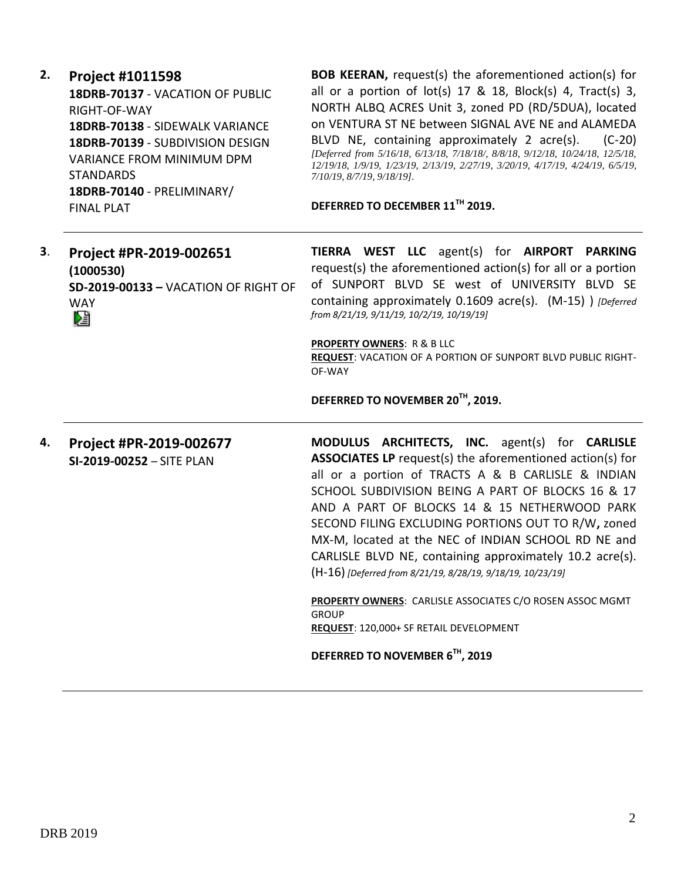**2. Project #1011598 18DRB-70137** - VACATION OF PUBLIC RIGHT-OF-WAY **18DRB-70138** - SIDEWALK VARIANCE **18DRB-70139** - SUBDIVISION DESIGN VARIANCE FROM MINIMUM DPM **STANDARDS 18DRB-70140** - PRELIMINARY/

FINAL PLAT

**BOB KEERAN,** request(s) the aforementioned action(s) for all or a portion of  $lot(s)$  17 & 18, Block(s) 4, Tract(s) 3, NORTH ALBQ ACRES Unit 3, zoned PD (RD/5DUA), located on VENTURA ST NE between SIGNAL AVE NE and ALAMEDA BLVD NE, containing approximately 2 acre(s). (C-20) *[Deferred from 5/16/18, 6/13/18, 7/18/18/, 8/8/18, 9/12/18, 10/24/18, 12/5/18, 12/19/18, 1/9/19, 1/23/19, 2/13/19, 2/27/19, 3/20/19, 4/17/19, 4/24/19, 6/5/19, 7/10/19, 8/7/19, 9/18/19].*

**DEFERRED TO DECEMBER 11TH 2019.** 

| 3. | Project #PR-2019-002651              |                                       |  |                                           | TIERRA WEST LLC agent(s) for AIRPORT PARKING                 |  |
|----|--------------------------------------|---------------------------------------|--|-------------------------------------------|--------------------------------------------------------------|--|
|    | (1000530)                            |                                       |  |                                           | request(s) the aforementioned action(s) for all or a portion |  |
|    | SD-2019-00133 - VACATION OF RIGHT OF |                                       |  |                                           | of SUNPORT BLVD SE west of UNIVERSITY BLVD SE                |  |
|    | <b>WAY</b>                           |                                       |  | from 8/21/19, 9/11/19, 10/2/19, 10/19/19] | containing approximately 0.1609 acre(s). (M-15) ) [Deferred  |  |
|    | 妇                                    |                                       |  |                                           |                                                              |  |
|    |                                      | <b>PROPERTY OWNERS: R &amp; B LLC</b> |  |                                           |                                                              |  |

**REQUEST**: VACATION OF A PORTION OF SUNPORT BLVD PUBLIC RIGHT-OF-WAY

**DEFERRED TO NOVEMBER 20TH, 2019.**

**4. Project #PR-2019-002677 SI-2019-00252** – SITE PLAN **MODULUS ARCHITECTS, INC.** agent(s) for **CARLISLE ASSOCIATES LP** request(s) the aforementioned action(s) for all or a portion of TRACTS A & B CARLISLE & INDIAN SCHOOL SUBDIVISION BEING A PART OF BLOCKS 16 & 17 AND A PART OF BLOCKS 14 & 15 NETHERWOOD PARK SECOND FILING EXCLUDING PORTIONS OUT TO R/W**,** zoned MX-M, located at the NEC of INDIAN SCHOOL RD NE and CARLISLE BLVD NE, containing approximately 10.2 acre(s). (H-16) *[Deferred from 8/21/19, 8/28/19, 9/18/19, 10/23/19]*

> **PROPERTY OWNERS**: CARLISLE ASSOCIATES C/O ROSEN ASSOC MGMT GROUP **REQUEST**: 120,000+ SF RETAIL DEVELOPMENT

**DEFERRED TO NOVEMBER 6 TH, 2019**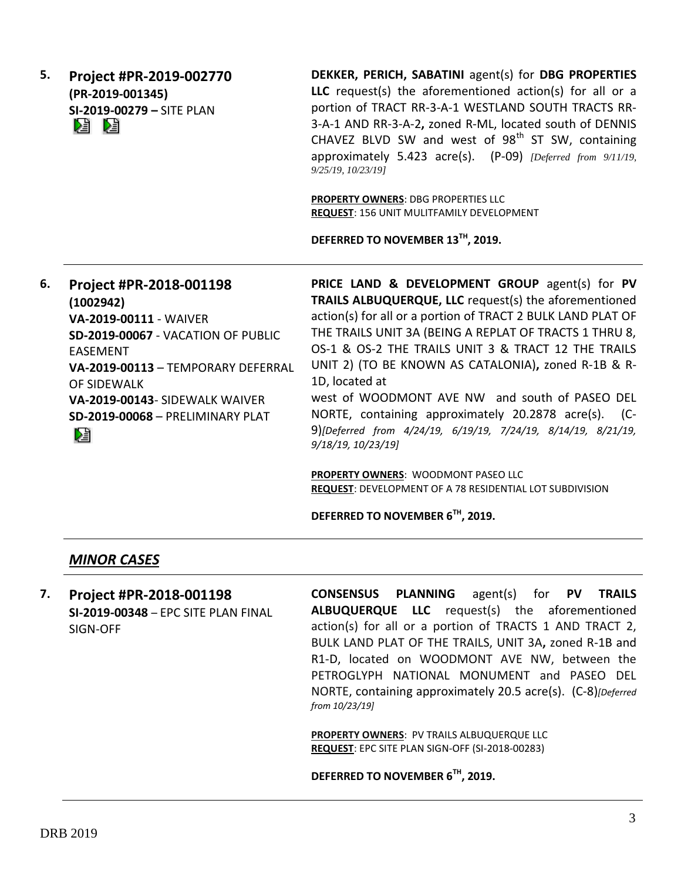**5. Project #PR-2019-002770 (PR-2019-001345) SI-2019-00279 –** SITE PLAN DE DE

**DEKKER, PERICH, SABATINI** agent(s) for **DBG PROPERTIES LLC** request(s) the aforementioned action(s) for all or a portion of TRACT RR-3-A-1 WESTLAND SOUTH TRACTS RR-3-A-1 AND RR-3-A-2**,** zoned R-ML, located south of DENNIS CHAVEZ BLVD SW and west of  $98<sup>th</sup>$  ST SW, containing approximately 5.423 acre(s). (P-09) *[Deferred from 9/11/19, 9/25/19, 10/23/19]*

**PROPERTY OWNERS**: DBG PROPERTIES LLC **REQUEST**: 156 UNIT MULITFAMILY DEVELOPMENT

**DEFERRED TO NOVEMBER 13TH, 2019.** 

**6. Project #PR-2018-001198 (1002942) VA-2019-00111** - WAIVER **SD-2019-00067** - VACATION OF PUBLIC EASEMENT **VA-2019-00113** – TEMPORARY DEFERRAL OF SIDEWALK **VA-2019-00143**- SIDEWALK WAIVER **SD-2019-00068** – PRELIMINARY PLAT Dà

**PRICE LAND & DEVELOPMENT GROUP** agent(s) for **PV TRAILS ALBUQUERQUE, LLC** request(s) the aforementioned action(s) for all or a portion of TRACT 2 BULK LAND PLAT OF THE TRAILS UNIT 3A (BEING A REPLAT OF TRACTS 1 THRU 8, OS-1 & OS-2 THE TRAILS UNIT 3 & TRACT 12 THE TRAILS UNIT 2) (TO BE KNOWN AS CATALONIA)**,** zoned R-1B & R-1D, located at

west of WOODMONT AVE NW and south of PASEO DEL NORTE, containing approximately 20.2878 acre(s). (C-9)*[Deferred from 4/24/19, 6/19/19, 7/24/19, 8/14/19, 8/21/19, 9/18/19, 10/23/19]*

**PROPERTY OWNERS**: WOODMONT PASEO LLC **REQUEST**: DEVELOPMENT OF A 78 RESIDENTIAL LOT SUBDIVISION

**DEFERRED TO NOVEMBER 6TH, 2019.** 

### *MINOR CASES*

**7. Project #PR-2018-001198 SI-2019-00348** – EPC SITE PLAN FINAL SIGN-OFF

**CONSENSUS PLANNING** agent(s) for **PV TRAILS ALBUQUERQUE LLC** request(s) the aforementioned action(s) for all or a portion of TRACTS 1 AND TRACT 2, BULK LAND PLAT OF THE TRAILS, UNIT 3A**,** zoned R-1B and R1-D, located on WOODMONT AVE NW, between the PETROGLYPH NATIONAL MONUMENT and PASEO DEL NORTE, containing approximately 20.5 acre(s). (C-8)*[Deferred from 10/23/19]*

**PROPERTY OWNERS**: PV TRAILS ALBUQUERQUE LLC **REQUEST**: EPC SITE PLAN SIGN-OFF (SI-2018-00283)

**DEFERRED TO NOVEMBER 6TH, 2019.**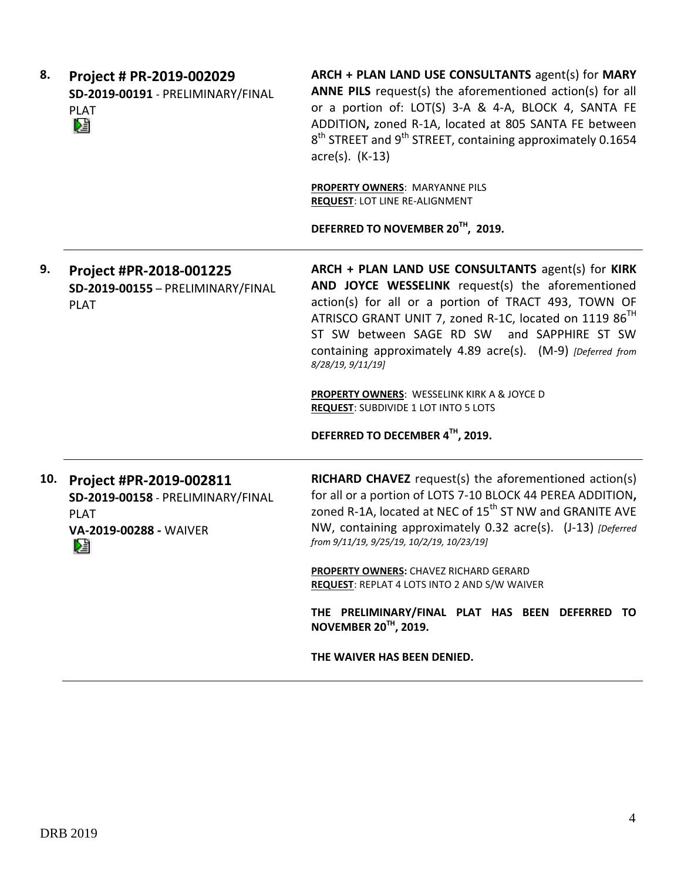| 8.  | Project # PR-2019-002029<br>SD-2019-00191 - PRELIMINARY/FINAL<br><b>PLAT</b><br>⊠                          | ARCH + PLAN LAND USE CONSULTANTS agent(s) for MARY<br>ANNE PILS request(s) the aforementioned action(s) for all<br>or a portion of: LOT(S) 3-A & 4-A, BLOCK 4, SANTA FE<br>ADDITION, zoned R-1A, located at 805 SANTA FE between<br>8 <sup>th</sup> STREET and 9 <sup>th</sup> STREET, containing approximately 0.1654<br>$\arccos(5)$ . (K-13)                                                                         |
|-----|------------------------------------------------------------------------------------------------------------|-------------------------------------------------------------------------------------------------------------------------------------------------------------------------------------------------------------------------------------------------------------------------------------------------------------------------------------------------------------------------------------------------------------------------|
|     |                                                                                                            | <b>PROPERTY OWNERS: MARYANNE PILS</b><br><b>REQUEST: LOT LINE RE-ALIGNMENT</b>                                                                                                                                                                                                                                                                                                                                          |
|     |                                                                                                            | DEFERRED TO NOVEMBER 20TH, 2019.                                                                                                                                                                                                                                                                                                                                                                                        |
| 9.  | Project #PR-2018-001225<br>SD-2019-00155 - PRELIMINARY/FINAL<br><b>PLAT</b>                                | ARCH + PLAN LAND USE CONSULTANTS agent(s) for KIRK<br>AND JOYCE WESSELINK request(s) the aforementioned<br>action(s) for all or a portion of TRACT 493, TOWN OF<br>ATRISCO GRANT UNIT 7, zoned R-1C, located on 1119 86 <sup>TH</sup><br>ST SW between SAGE RD SW and SAPPHIRE ST SW<br>containing approximately 4.89 acre(s). (M-9) [Deferred from<br>8/28/19, 9/11/19]<br>PROPERTY OWNERS: WESSELINK KIRK A & JOYCE D |
|     |                                                                                                            | <b>REQUEST: SUBDIVIDE 1 LOT INTO 5 LOTS</b>                                                                                                                                                                                                                                                                                                                                                                             |
|     |                                                                                                            | DEFERRED TO DECEMBER 4TH, 2019.                                                                                                                                                                                                                                                                                                                                                                                         |
| 10. | Project #PR-2019-002811<br>SD-2019-00158 - PRELIMINARY/FINAL<br><b>PLAT</b><br>VA-2019-00288 - WAIVER<br>N | <b>RICHARD CHAVEZ</b> request(s) the aforementioned action(s)<br>for all or a portion of LOTS 7-10 BLOCK 44 PEREA ADDITION,<br>zoned R-1A, located at NEC of 15 <sup>th</sup> ST NW and GRANITE AVE<br>NW, containing approximately 0.32 acre(s). (J-13) [Deferred<br>from 9/11/19, 9/25/19, 10/2/19, 10/23/19]                                                                                                         |
|     |                                                                                                            | PROPERTY OWNERS: CHAVEZ RICHARD GERARD<br>REQUEST: REPLAT 4 LOTS INTO 2 AND S/W WAIVER                                                                                                                                                                                                                                                                                                                                  |
|     |                                                                                                            | THE PRELIMINARY/FINAL PLAT HAS BEEN DEFERRED TO<br>NOVEMBER 20TH, 2019.                                                                                                                                                                                                                                                                                                                                                 |
|     |                                                                                                            | THE WAIVER HAS BEEN DENIED.                                                                                                                                                                                                                                                                                                                                                                                             |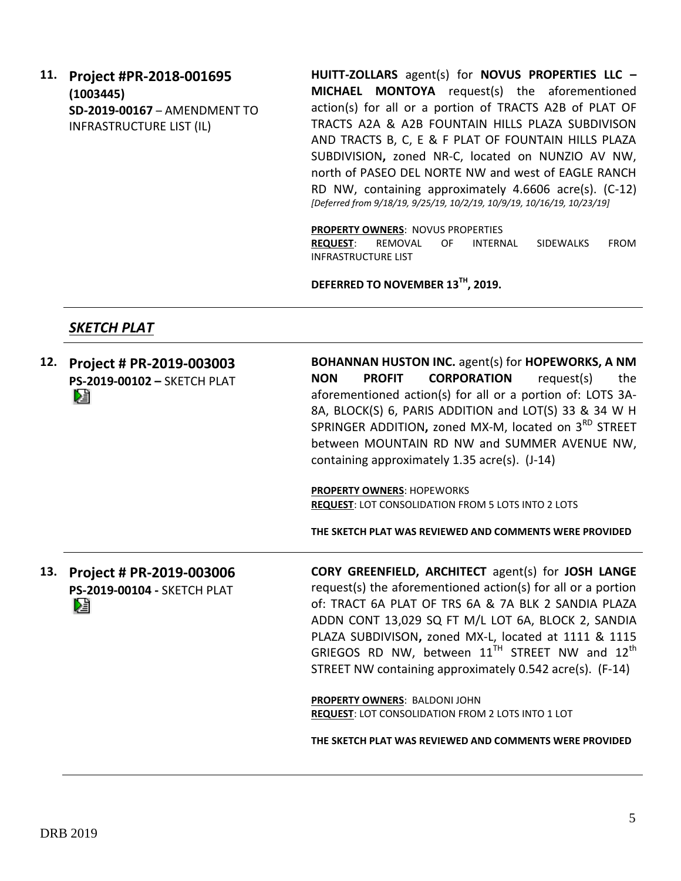### **11. Project #PR-2018-001695 (1003445) SD-2019-00167** – AMENDMENT TO INFRASTRUCTURE LIST (IL)

**HUITT-ZOLLARS** agent(s) for **NOVUS PROPERTIES LLC – MICHAEL MONTOYA** request(s) the aforementioned action(s) for all or a portion of TRACTS A2B of PLAT OF TRACTS A2A & A2B FOUNTAIN HILLS PLAZA SUBDIVISON AND TRACTS B, C, E & F PLAT OF FOUNTAIN HILLS PLAZA SUBDIVISION**,** zoned NR-C, located on NUNZIO AV NW, north of PASEO DEL NORTE NW and west of EAGLE RANCH RD NW, containing approximately 4.6606 acre(s). (C-12) *[Deferred from 9/18/19, 9/25/19, 10/2/19, 10/9/19, 10/16/19, 10/23/19]*

**PROPERTY OWNERS**: NOVUS PROPERTIES

**REQUEST**: REMOVAL OF INTERNAL SIDEWALKS FROM INFRASTRUCTURE LIST

**DEFERRED TO NOVEMBER 13TH, 2019.** 

### *SKETCH PLAT*

|     | 12. Project # PR-2019-003003<br>PS-2019-00102 - SKETCH PLAT<br>r.   | <b>BOHANNAN HUSTON INC.</b> agent(s) for <b>HOPEWORKS</b> , A NM<br><b>NON</b><br><b>PROFIT</b><br><b>CORPORATION</b><br>request(s)<br>the<br>aforementioned action(s) for all or a portion of: LOTS 3A-<br>8A, BLOCK(S) 6, PARIS ADDITION and LOT(S) 33 & 34 W H<br>SPRINGER ADDITION, zoned MX-M, located on 3 <sup>RD</sup> STREET<br>between MOUNTAIN RD NW and SUMMER AVENUE NW,<br>containing approximately 1.35 acre(s). (J-14)<br><b>PROPERTY OWNERS: HOPEWORKS</b><br><b>REQUEST: LOT CONSOLIDATION FROM 5 LOTS INTO 2 LOTS</b>                                |
|-----|---------------------------------------------------------------------|-------------------------------------------------------------------------------------------------------------------------------------------------------------------------------------------------------------------------------------------------------------------------------------------------------------------------------------------------------------------------------------------------------------------------------------------------------------------------------------------------------------------------------------------------------------------------|
|     |                                                                     | THE SKETCH PLAT WAS REVIEWED AND COMMENTS WERE PROVIDED                                                                                                                                                                                                                                                                                                                                                                                                                                                                                                                 |
| 13. | Project # PR-2019-003006<br><b>PS-2019-00104 - SKETCH PLAT</b><br>r | <b>CORY GREENFIELD, ARCHITECT agent(s) for JOSH LANGE</b><br>request(s) the aforementioned action(s) for all or a portion<br>of: TRACT 6A PLAT OF TRS 6A & 7A BLK 2 SANDIA PLAZA<br>ADDN CONT 13,029 SQ FT M/L LOT 6A, BLOCK 2, SANDIA<br>PLAZA SUBDIVISON, zoned MX-L, located at 1111 & 1115<br>GRIEGOS RD NW, between $11^{TH}$ STREET NW and $12^{th}$<br>STREET NW containing approximately 0.542 acre(s). (F-14)<br>PROPERTY OWNERS: BALDONI JOHN<br>REQUEST: LOT CONSOLIDATION FROM 2 LOTS INTO 1 LOT<br>THE SKETCH PLAT WAS REVIEWED AND COMMENTS WERE PROVIDED |